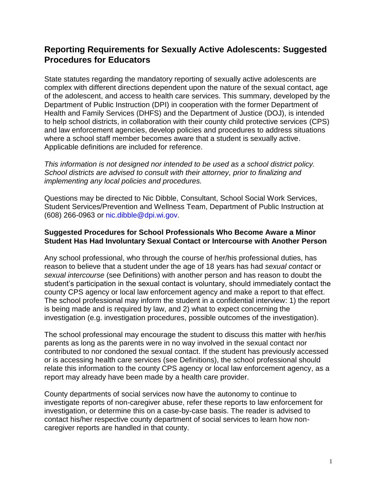# **Reporting Requirements for Sexually Active Adolescents: Suggested Procedures for Educators**

State statutes regarding the mandatory reporting of sexually active adolescents are complex with different directions dependent upon the nature of the sexual contact, age of the adolescent, and access to health care services. This summary, developed by the Department of Public Instruction (DPI) in cooperation with the former Department of Health and Family Services (DHFS) and the Department of Justice (DOJ), is intended to help school districts, in collaboration with their county child protective services (CPS) and law enforcement agencies, develop policies and procedures to address situations where a school staff member becomes aware that a student is sexually active. Applicable definitions are included for reference.

*This information is not designed nor intended to be used as a school district policy. School districts are advised to consult with their attorney, prior to finalizing and implementing any local policies and procedures.*

Questions may be directed to Nic Dibble, Consultant, School Social Work Services, Student Services/Prevention and Wellness Team, Department of Public Instruction at (608) 266-0963 or nic.dibble@dpi.wi.gov.

### **Suggested Procedures for School Professionals Who Become Aware a Minor Student Has Had Involuntary Sexual Contact or Intercourse with Another Person**

Any school professional, who through the course of her/his professional duties, has reason to believe that a student under the age of 18 years has had *sexual contact* or *sexual intercourse* (see Definitions) with another person and has reason to doubt the student's participation in the sexual contact is voluntary, should immediately contact the county CPS agency or local law enforcement agency and make a report to that effect. The school professional may inform the student in a confidential interview: 1) the report is being made and is required by law, and 2) what to expect concerning the investigation (e.g. investigation procedures, possible outcomes of the investigation).

The school professional may encourage the student to discuss this matter with her/his parents as long as the parents were in no way involved in the sexual contact nor contributed to nor condoned the sexual contact. If the student has previously accessed or is accessing health care services (see Definitions), the school professional should relate this information to the county CPS agency or local law enforcement agency, as a report may already have been made by a health care provider.

County departments of social services now have the autonomy to continue to investigate reports of non-caregiver abuse, refer these reports to law enforcement for investigation, or determine this on a case-by-case basis. The reader is advised to contact his/her respective county department of social services to learn how noncaregiver reports are handled in that county.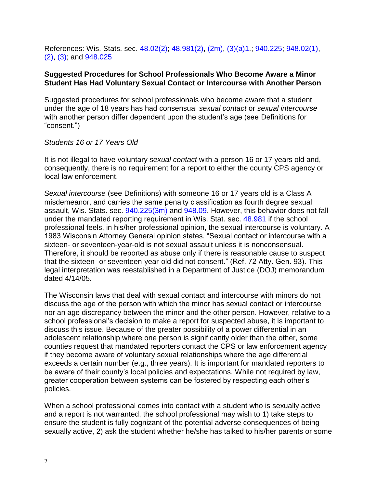References: Wis. Stats. sec. [48.02\(2\);](http://nxt.legis.state.wi.us/nxt/gateway.dll?f=templates&fn=default.htm&d=stats&jd=48.02(2)) [48.981\(2\),](http://nxt.legis.state.wi.us/nxt/gateway.dll?f=templates&fn=default.htm&d=stats&jd=48.981(2)) [\(2m\),](http://nxt.legis.state.wi.us/nxt/gateway.dll?f=templates&fn=default.htm&d=stats&jd=48.981(2m)) [\(3\)\(a\)1.](http://nxt.legis.state.wi.us/nxt/gateway.dll?f=templates&fn=default.htm&d=stats&jd=48.981(3)(a)1.); [940.225;](http://nxt.legis.state.wi.us/nxt/gateway.dll?f=templates&fn=default.htm&d=stats&jd=940.225) [948.02\(1\),](http://nxt.legis.state.wi.us/nxt/gateway.dll?f=templates&fn=default.htm&d=stats&jd=948.02(1)) [\(2\),](http://nxt.legis.state.wi.us/nxt/gateway.dll?f=templates&fn=default.htm&d=stats&jd=948.02(2)) [\(3\);](http://nxt.legis.state.wi.us/nxt/gateway.dll?f=templates&fn=default.htm&d=stats&jd=948.02(3)) and [948.025](http://nxt.legis.state.wi.us/nxt/gateway.dll?f=templates&fn=default.htm&d=stats&jd=948.025)

#### **Suggested Procedures for School Professionals Who Become Aware a Minor Student Has Had Voluntary Sexual Contact or Intercourse with Another Person**

Suggested procedures for school professionals who become aware that a student under the age of 18 years has had consensual *sexual contact* or *sexual intercourse* with another person differ dependent upon the student's age (see Definitions for "consent.")

*Students 16 or 17 Years Old*

It is not illegal to have voluntary *sexual contact* with a person 16 or 17 years old and, consequently, there is no requirement for a report to either the county CPS agency or local law enforcement.

*Sexual intercourse* (see Definitions) with someone 16 or 17 years old is a Class A misdemeanor, and carries the same penalty classification as fourth degree sexual assault, Wis. Stats. sec. [940.225\(3m\)](http://nxt.legis.state.wi.us/nxt/gateway.dll?f=templates&fn=default.htm&d=stats&jd=940.225(3m)) and [948.09.](http://nxt.legis.state.wi.us/nxt/gateway.dll?f=templates&fn=default.htm&d=stats&jd=948.09) However, this behavior does not fall under the mandated reporting requirement in Wis. Stat. sec. [48.981](http://nxt.legis.state.wi.us/nxt/gateway.dll?f=templates&fn=default.htm&d=stats&jd=48.981) if the school professional feels, in his/her professional opinion, the sexual intercourse is voluntary. A 1983 Wisconsin Attorney General opinion states, "Sexual contact or intercourse with a sixteen- or seventeen-year-old is not sexual assault unless it is nonconsensual. Therefore, it should be reported as abuse only if there is reasonable cause to suspect that the sixteen- or seventeen-year-old did not consent." (Ref. 72 Atty. Gen. 93). This legal interpretation was reestablished in a Department of Justice (DOJ) memorandum dated 4/14/05.

The Wisconsin laws that deal with sexual contact and intercourse with minors do not discuss the age of the person with which the minor has sexual contact or intercourse nor an age discrepancy between the minor and the other person. However, relative to a school professional's decision to make a report for suspected abuse, it is important to discuss this issue. Because of the greater possibility of a power differential in an adolescent relationship where one person is significantly older than the other, some counties request that mandated reporters contact the CPS or law enforcement agency if they become aware of voluntary sexual relationships where the age differential exceeds a certain number (e.g., three years). It is important for mandated reporters to be aware of their county's local policies and expectations. While not required by law, greater cooperation between systems can be fostered by respecting each other's policies.

When a school professional comes into contact with a student who is sexually active and a report is not warranted, the school professional may wish to 1) take steps to ensure the student is fully cognizant of the potential adverse consequences of being sexually active, 2) ask the student whether he/she has talked to his/her parents or some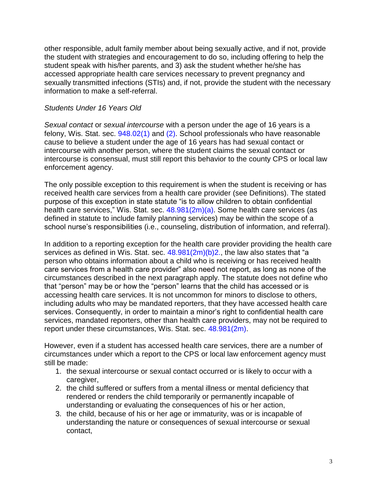other responsible, adult family member about being sexually active, and if not, provide the student with strategies and encouragement to do so, including offering to help the student speak with his/her parents, and 3) ask the student whether he/she has accessed appropriate health care services necessary to prevent pregnancy and sexually transmitted infections (STIs) and, if not, provide the student with the necessary information to make a self-referral.

### *Students Under 16 Years Old*

*Sexual contact* or *sexual intercourse* with a person under the age of 16 years is a felony, Wis. Stat. sec.  $948.02(1)$  and  $(2)$ . School professionals who have reasonable cause to believe a student under the age of 16 years has had sexual contact or intercourse with another person, where the student claims the sexual contact or intercourse is consensual, must still report this behavior to the county CPS or local law enforcement agency.

The only possible exception to this requirement is when the student is receiving or has received health care services from a health care provider (see Definitions). The stated purpose of this exception in state statute "is to allow children to obtain confidential health care services," Wis. Stat. sec. [48.981\(2m\)\(a\).](http://nxt.legis.state.wi.us/nxt/gateway.dll?f=templates&fn=default.htm&d=stats&jd=48.981(2m)(a)) Some health care services (as defined in statute to include family planning services) may be within the scope of a school nurse's responsibilities (i.e., counseling, distribution of information, and referral).

In addition to a reporting exception for the health care provider providing the health care services as defined in Wis. Stat. sec.  $48.981(2m)(b)2$ ., the law also states that "a person who obtains information about a child who is receiving or has received health care services from a health care provider" also need not report, as long as none of the circumstances described in the next paragraph apply. The statute does not define who that "person" may be or how the "person" learns that the child has accessed or is accessing health care services. It is not uncommon for minors to disclose to others, including adults who may be mandated reporters, that they have accessed health care services. Consequently, in order to maintain a minor's right to confidential health care services, mandated reporters, other than health care providers, may not be required to report under these circumstances, Wis. Stat. sec. [48.981\(2m\).](http://nxt.legis.state.wi.us/nxt/gateway.dll?f=templates&fn=default.htm&d=stats&jd=48.981(2m))

However, even if a student has accessed health care services, there are a number of circumstances under which a report to the CPS or local law enforcement agency must still be made:

- 1. the sexual intercourse or sexual contact occurred or is likely to occur with a caregiver,
- 2. the child suffered or suffers from a mental illness or mental deficiency that rendered or renders the child temporarily or permanently incapable of understanding or evaluating the consequences of his or her action,
- 3. the child, because of his or her age or immaturity, was or is incapable of understanding the nature or consequences of sexual intercourse or sexual contact,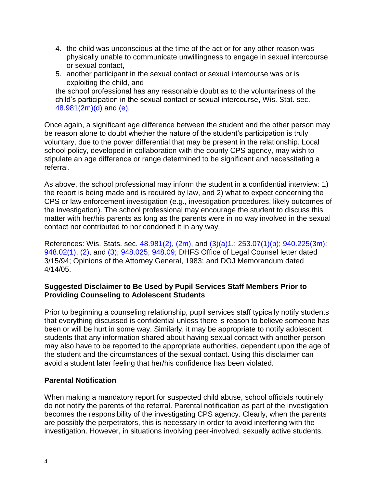- 4. the child was unconscious at the time of the act or for any other reason was physically unable to communicate unwillingness to engage in sexual intercourse or sexual contact,
- 5. another participant in the sexual contact or sexual intercourse was or is exploiting the child, and

the school professional has any reasonable doubt as to the voluntariness of the child's participation in the sexual contact or sexual intercourse, Wis. Stat. sec. [48.981\(2m\)\(d\)](http://nxt.legis.state.wi.us/nxt/gateway.dll?f=templates&fn=default.htm&d=stats&jd=48.981(2m)(d)) and [\(e\).](http://nxt.legis.state.wi.us/nxt/gateway.dll?f=templates&fn=default.htm&d=stats&jd=48.981(2m)(e))

Once again, a significant age difference between the student and the other person may be reason alone to doubt whether the nature of the student's participation is truly voluntary, due to the power differential that may be present in the relationship. Local school policy, developed in collaboration with the county CPS agency, may wish to stipulate an age difference or range determined to be significant and necessitating a referral.

As above, the school professional may inform the student in a confidential interview: 1) the report is being made and is required by law, and 2) what to expect concerning the CPS or law enforcement investigation (e.g., investigation procedures, likely outcomes of the investigation). The school professional may encourage the student to discuss this matter with her/his parents as long as the parents were in no way involved in the sexual contact nor contributed to nor condoned it in any way.

References: Wis. Stats. sec. [48.981\(2\),](http://nxt.legis.state.wi.us/nxt/gateway.dll?f=templates&fn=default.htm&d=stats&jd=48.981(2)) [\(2m\),](http://nxt.legis.state.wi.us/nxt/gateway.dll?f=templates&fn=default.htm&d=stats&jd=48.981(2m)) and [\(3\)\(a\)1.;](http://nxt.legis.state.wi.us/nxt/gateway.dll?f=templates&fn=default.htm&d=stats&jd=48.981(3)(a)1.) [253.07\(1\)\(b\);](http://nxt.legis.state.wi.us/nxt/gateway.dll?f=templates&fn=default.htm&d=stats&jd=253.07(1)(b)) [940.225\(3m\);](http://nxt.legis.state.wi.us/nxt/gateway.dll?f=templates&fn=default.htm&d=stats&jd=940.225(3m)) [948.02\(1\),](http://nxt.legis.state.wi.us/nxt/gateway.dll?f=templates&fn=default.htm&d=stats&jd=948.02(1)) [\(2\),](http://nxt.legis.state.wi.us/nxt/gateway.dll?f=templates&fn=default.htm&d=stats&jd=948.02(2)) and [\(3\);](http://nxt.legis.state.wi.us/nxt/gateway.dll?f=templates&fn=default.htm&d=stats&jd=948.02(3)) [948.025;](http://nxt.legis.state.wi.us/nxt/gateway.dll?f=templates&fn=default.htm&d=stats&jd=948.025) [948.09;](http://nxt.legis.state.wi.us/nxt/gateway.dll?f=templates&fn=default.htm&d=stats&jd=948.09) DHFS Office of Legal Counsel letter dated 3/15/94; Opinions of the Attorney General, 1983; and DOJ Memorandum dated 4/14/05.

## **Suggested Disclaimer to Be Used by Pupil Services Staff Members Prior to Providing Counseling to Adolescent Students**

Prior to beginning a counseling relationship, pupil services staff typically notify students that everything discussed is confidential unless there is reason to believe someone has been or will be hurt in some way. Similarly, it may be appropriate to notify adolescent students that any information shared about having sexual contact with another person may also have to be reported to the appropriate authorities, dependent upon the age of the student and the circumstances of the sexual contact. Using this disclaimer can avoid a student later feeling that her/his confidence has been violated.

## **Parental Notification**

When making a mandatory report for suspected child abuse, school officials routinely do not notify the parents of the referral. Parental notification as part of the investigation becomes the responsibility of the investigating CPS agency. Clearly, when the parents are possibly the perpetrators, this is necessary in order to avoid interfering with the investigation. However, in situations involving peer-involved, sexually active students,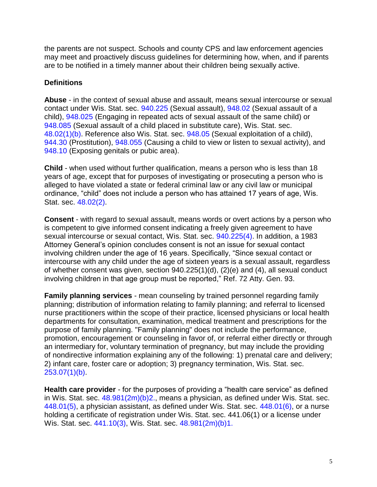the parents are not suspect. Schools and county CPS and law enforcement agencies may meet and proactively discuss guidelines for determining how, when, and if parents are to be notified in a timely manner about their children being sexually active.

# **Definitions**

**Abuse** - in the context of sexual abuse and assault, means sexual intercourse or sexual contact under Wis. Stat. sec. [940.225](http://nxt.legis.state.wi.us/nxt/gateway.dll?f=templates&fn=default.htm&d=stats&jd=940.225) (Sexual assault), [948.02](http://nxt.legis.state.wi.us/nxt/gateway.dll?f=templates&fn=default.htm&d=stats&jd=948.02) (Sexual assault of a child), [948.025](http://nxt.legis.state.wi.us/nxt/gateway.dll?f=templates&fn=default.htm&d=stats&jd=948.025) (Engaging in repeated acts of sexual assault of the same child) or [948.085](http://nxt.legis.state.wi.us/nxt/gateway.dll?f=templates&fn=default.htm&d=stats&jd=948.085) (Sexual assault of a child placed in substitute care), Wis. Stat. sec. [48.02\(1\)\(b\).](http://nxt.legis.state.wi.us/nxt/gateway.dll?f=templates&fn=default.htm&d=stats&jd=48.02(1)(b)) Reference also Wis. Stat. sec. [948.05](http://nxt.legis.state.wi.us/nxt/gateway.dll?f=templates&fn=default.htm&d=stats&jd=948.05) (Sexual exploitation of a child), [944.30](http://nxt.legis.state.wi.us/nxt/gateway.dll?f=templates&fn=default.htm&d=stats&jd=944.30) (Prostitution), [948.055](http://nxt.legis.state.wi.us/nxt/gateway.dll?f=templates&fn=default.htm&d=stats&jd=948.055) (Causing a child to view or listen to sexual activity), and [948.10](http://nxt.legis.state.wi.us/nxt/gateway.dll?f=templates&fn=default.htm&d=stats&jd=948.10) (Exposing genitals or pubic area).

**Child** - when used without further qualification, means a person who is less than 18 years of age, except that for purposes of investigating or prosecuting a person who is alleged to have violated a state or federal criminal law or any civil law or municipal ordinance, "child" does not include a person who has attained 17 years of age, Wis. Stat. sec. [48.02\(2\).](http://nxt.legis.state.wi.us/nxt/gateway.dll?f=templates&fn=default.htm&d=stats&jd=948.02(2))

**Consent** - with regard to sexual assault, means words or overt actions by a person who is competent to give informed consent indicating a freely given agreement to have sexual intercourse or sexual contact, Wis. Stat. sec. [940.225\(4\).](http://nxt.legis.state.wi.us/nxt/gateway.dll?f=templates&fn=default.htm&d=stats&jd=940.225(4)) In addition, a 1983 Attorney General's opinion concludes consent is not an issue for sexual contact involving children under the age of 16 years. Specifically, "Since sexual contact or intercourse with any child under the age of sixteen years is a sexual assault, regardless of whether consent was given, section 940.225(1)(d), (2)(e) and (4), all sexual conduct involving children in that age group must be reported," Ref. 72 Atty. Gen. 93.

**Family planning services** - mean counseling by trained personnel regarding family planning; distribution of information relating to family planning; and referral to licensed nurse practitioners within the scope of their practice, licensed physicians or local health departments for consultation, examination, medical treatment and prescriptions for the purpose of family planning. "Family planning" does not include the performance, promotion, encouragement or counseling in favor of, or referral either directly or through an intermediary for, voluntary termination of pregnancy, but may include the providing of nondirective information explaining any of the following: 1) prenatal care and delivery; 2) infant care, foster care or adoption; 3) pregnancy termination, Wis. Stat. sec.  $253.07(1)(b)$ .

**Health care provider** - for the purposes of providing a "health care service" as defined in Wis. Stat. sec.  $48.981(2m)(b)2$ ., means a physician, as defined under Wis. Stat. sec. [448.01\(5\),](http://nxt.legis.state.wi.us/nxt/gateway.dll?f=templates&fn=default.htm&d=stats&jd=448.01(5)) a physician assistant, as defined under Wis. Stat. sec. [448.01\(6\),](http://nxt.legis.state.wi.us/nxt/gateway.dll?f=templates&fn=default.htm&d=stats&jd=448.01(6)) or a nurse holding a certificate of registration under Wis. Stat. sec. 441.06(1) or a license under Wis. Stat. sec. [441.10\(3\),](http://nxt.legis.state.wi.us/nxt/gateway.dll?f=templates&fn=default.htm&d=stats&jd=441.10(3)) Wis. Stat. sec. [48.981\(2m\)\(b\)1.](http://nxt.legis.state.wi.us/nxt/gateway.dll?f=templates&fn=default.htm&d=stats&jd=48.981(2m)(b)1.)